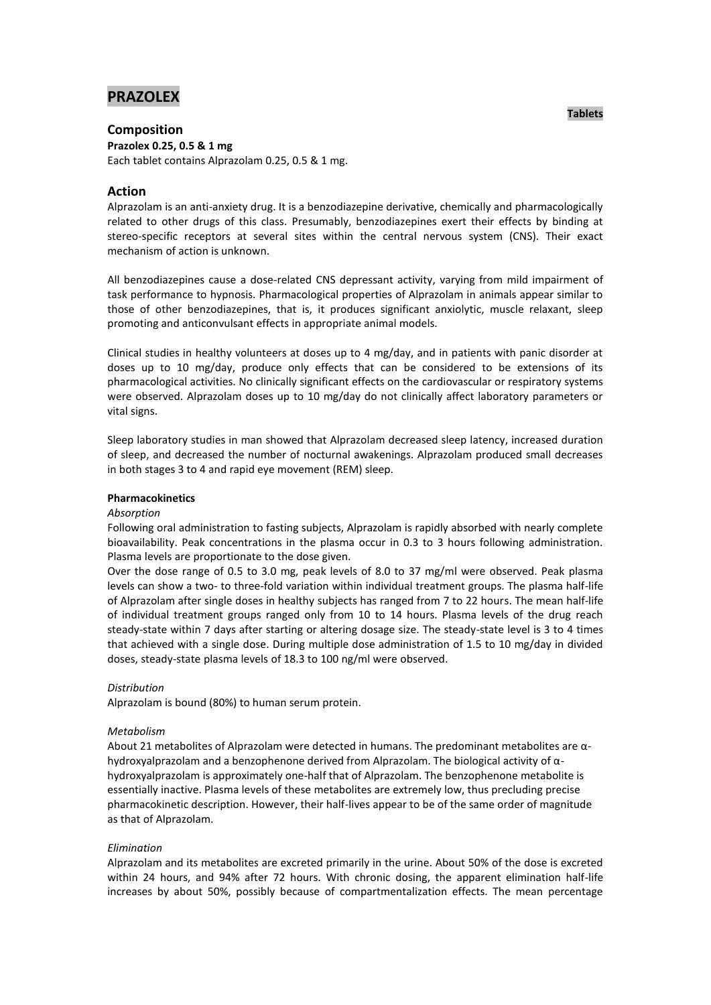# **PRAZOLEX**

# **Composition**

**Prazolex 0.25, 0.5 & 1 mg**  Each tablet contains Alprazolam 0.25, 0.5 & 1 mg.

# **Action**

Alprazolam is an anti-anxiety drug. It is a benzodiazepine derivative, chemically and pharmacologically related to other drugs of this class. Presumably, benzodiazepines exert their effects by binding at stereo-specific receptors at several sites within the central nervous system (CNS). Their exact mechanism of action is unknown.

All benzodiazepines cause a dose-related CNS depressant activity, varying from mild impairment of task performance to hypnosis. Pharmacological properties of Alprazolam in animals appear similar to those of other benzodiazepines, that is, it produces significant anxiolytic, muscle relaxant, sleep promoting and anticonvulsant effects in appropriate animal models.

Clinical studies in healthy volunteers at doses up to 4 mg/day, and in patients with panic disorder at doses up to 10 mg/day, produce only effects that can be considered to be extensions of its pharmacological activities. No clinically significant effects on the cardiovascular or respiratory systems were observed. Alprazolam doses up to 10 mg/day do not clinically affect laboratory parameters or vital signs.

Sleep laboratory studies in man showed that Alprazolam decreased sleep latency, increased duration of sleep, and decreased the number of nocturnal awakenings. Alprazolam produced small decreases in both stages 3 to 4 and rapid eye movement (REM) sleep.

# **Pharmacokinetics**

# *Absorption*

Following oral administration to fasting subjects, Alprazolam is rapidly absorbed with nearly complete bioavailability. Peak concentrations in the plasma occur in 0.3 to 3 hours following administration. Plasma levels are proportionate to the dose given.

Over the dose range of 0.5 to 3.0 mg, peak levels of 8.0 to 37 mg/ml were observed. Peak plasma levels can show a two- to three-fold variation within individual treatment groups. The plasma half-life of Alprazolam after single doses in healthy subjects has ranged from 7 to 22 hours. The mean half-life of individual treatment groups ranged only from 10 to 14 hours. Plasma levels of the drug reach steady-state within 7 days after starting or altering dosage size. The steady-state level is 3 to 4 times that achieved with a single dose. During multiple dose administration of 1.5 to 10 mg/day in divided doses, steady-state plasma levels of 18.3 to 100 ng/ml were observed.

# *Distribution*

Alprazolam is bound (80%) to human serum protein.

# *Metabolism*

About 21 metabolites of Alprazolam were detected in humans. The predominant metabolites are αhydroxyalprazolam and a benzophenone derived from Alprazolam. The biological activity of αhydroxyalprazolam is approximately one-half that of Alprazolam. The benzophenone metabolite is essentially inactive. Plasma levels of these metabolites are extremely low, thus precluding precise pharmacokinetic description. However, their half-lives appear to be of the same order of magnitude as that of Alprazolam.

# *Elimination*

Alprazolam and its metabolites are excreted primarily in the urine. About 50% of the dose is excreted within 24 hours, and 94% after 72 hours. With chronic dosing, the apparent elimination half-life increases by about 50%, possibly because of compartmentalization effects. The mean percentage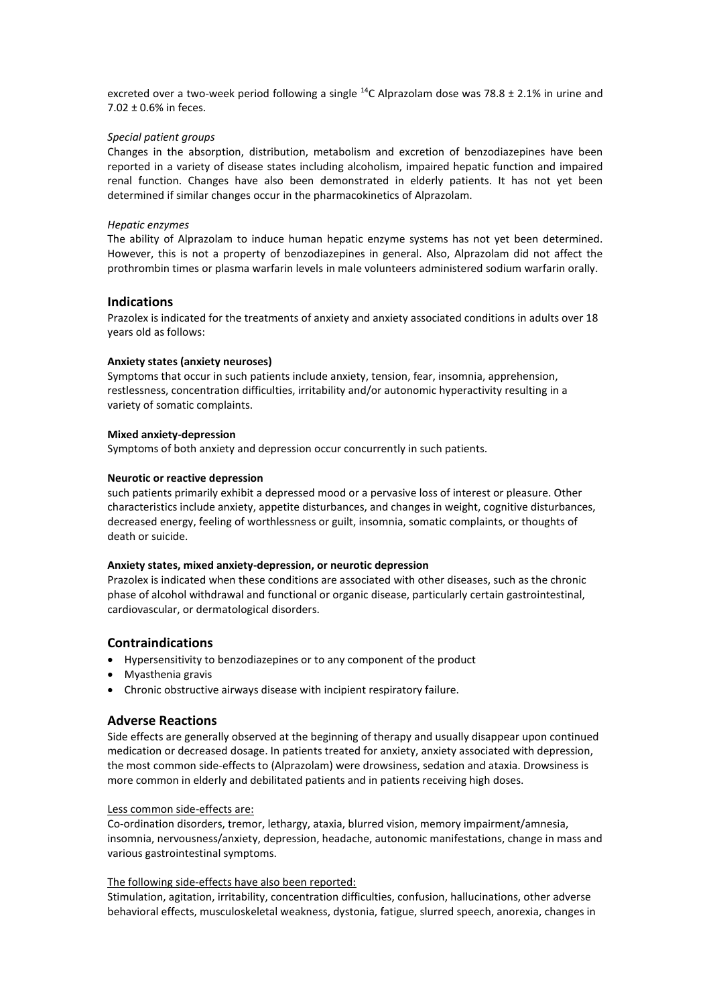excreted over a two-week period following a single <sup>14</sup>C Alprazolam dose was 78.8 ± 2.1% in urine and 7.02 ± 0.6% in feces.

### *Special patient groups*

Changes in the absorption, distribution, metabolism and excretion of benzodiazepines have been reported in a variety of disease states including alcoholism, impaired hepatic function and impaired renal function. Changes have also been demonstrated in elderly patients. It has not yet been determined if similar changes occur in the pharmacokinetics of Alprazolam.

#### *Hepatic enzymes*

The ability of Alprazolam to induce human hepatic enzyme systems has not yet been determined. However, this is not a property of benzodiazepines in general. Also, Alprazolam did not affect the prothrombin times or plasma warfarin levels in male volunteers administered sodium warfarin orally.

# **Indications**

Prazolex is indicated for the treatments of anxiety and anxiety associated conditions in adults over 18 years old as follows:

#### **Anxiety states (anxiety neuroses)**

Symptoms that occur in such patients include anxiety, tension, fear, insomnia, apprehension, restlessness, concentration difficulties, irritability and/or autonomic hyperactivity resulting in a variety of somatic complaints.

#### **Mixed anxiety-depression**

Symptoms of both anxiety and depression occur concurrently in such patients.

#### **Neurotic or reactive depression**

such patients primarily exhibit a depressed mood or a pervasive loss of interest or pleasure. Other characteristics include anxiety, appetite disturbances, and changes in weight, cognitive disturbances, decreased energy, feeling of worthlessness or guilt, insomnia, somatic complaints, or thoughts of death or suicide.

#### **Anxiety states, mixed anxiety-depression, or neurotic depression**

Prazolex is indicated when these conditions are associated with other diseases, such as the chronic phase of alcohol withdrawal and functional or organic disease, particularly certain gastrointestinal, cardiovascular, or dermatological disorders.

# **Contraindications**

- Hypersensitivity to benzodiazepines or to any component of the product
- Myasthenia gravis
- Chronic obstructive airways disease with incipient respiratory failure.

# **Adverse Reactions**

Side effects are generally observed at the beginning of therapy and usually disappear upon continued medication or decreased dosage. In patients treated for anxiety, anxiety associated with depression, the most common side-effects to (Alprazolam) were drowsiness, sedation and ataxia. Drowsiness is more common in elderly and debilitated patients and in patients receiving high doses.

### Less common side-effects are:

Co-ordination disorders, tremor, lethargy, ataxia, blurred vision, memory impairment/amnesia, insomnia, nervousness/anxiety, depression, headache, autonomic manifestations, change in mass and various gastrointestinal symptoms.

### The following side-effects have also been reported:

Stimulation, agitation, irritability, concentration difficulties, confusion, hallucinations, other adverse behavioral effects, musculoskeletal weakness, dystonia, fatigue, slurred speech, anorexia, changes in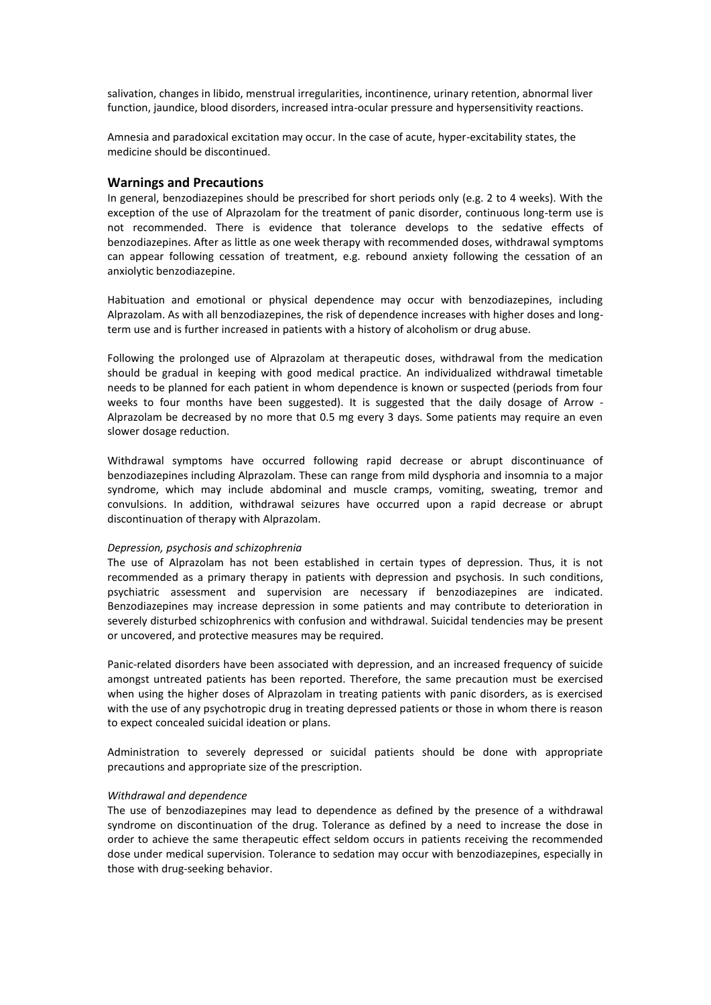salivation, changes in libido, menstrual irregularities, incontinence, urinary retention, abnormal liver function, jaundice, blood disorders, increased intra-ocular pressure and hypersensitivity reactions.

Amnesia and paradoxical excitation may occur. In the case of acute, hyper-excitability states, the medicine should be discontinued.

# **Warnings and Precautions**

In general, benzodiazepines should be prescribed for short periods only (e.g. 2 to 4 weeks). With the exception of the use of Alprazolam for the treatment of panic disorder, continuous long-term use is not recommended. There is evidence that tolerance develops to the sedative effects of benzodiazepines. After as little as one week therapy with recommended doses, withdrawal symptoms can appear following cessation of treatment, e.g. rebound anxiety following the cessation of an anxiolytic benzodiazepine.

Habituation and emotional or physical dependence may occur with benzodiazepines, including Alprazolam. As with all benzodiazepines, the risk of dependence increases with higher doses and longterm use and is further increased in patients with a history of alcoholism or drug abuse.

Following the prolonged use of Alprazolam at therapeutic doses, withdrawal from the medication should be gradual in keeping with good medical practice. An individualized withdrawal timetable needs to be planned for each patient in whom dependence is known or suspected (periods from four weeks to four months have been suggested). It is suggested that the daily dosage of Arrow - Alprazolam be decreased by no more that 0.5 mg every 3 days. Some patients may require an even slower dosage reduction.

Withdrawal symptoms have occurred following rapid decrease or abrupt discontinuance of benzodiazepines including Alprazolam. These can range from mild dysphoria and insomnia to a major syndrome, which may include abdominal and muscle cramps, vomiting, sweating, tremor and convulsions. In addition, withdrawal seizures have occurred upon a rapid decrease or abrupt discontinuation of therapy with Alprazolam.

#### *Depression, psychosis and schizophrenia*

The use of Alprazolam has not been established in certain types of depression. Thus, it is not recommended as a primary therapy in patients with depression and psychosis. In such conditions, psychiatric assessment and supervision are necessary if benzodiazepines are indicated. Benzodiazepines may increase depression in some patients and may contribute to deterioration in severely disturbed schizophrenics with confusion and withdrawal. Suicidal tendencies may be present or uncovered, and protective measures may be required.

Panic-related disorders have been associated with depression, and an increased frequency of suicide amongst untreated patients has been reported. Therefore, the same precaution must be exercised when using the higher doses of Alprazolam in treating patients with panic disorders, as is exercised with the use of any psychotropic drug in treating depressed patients or those in whom there is reason to expect concealed suicidal ideation or plans.

Administration to severely depressed or suicidal patients should be done with appropriate precautions and appropriate size of the prescription.

#### *Withdrawal and dependence*

The use of benzodiazepines may lead to dependence as defined by the presence of a withdrawal syndrome on discontinuation of the drug. Tolerance as defined by a need to increase the dose in order to achieve the same therapeutic effect seldom occurs in patients receiving the recommended dose under medical supervision. Tolerance to sedation may occur with benzodiazepines, especially in those with drug-seeking behavior.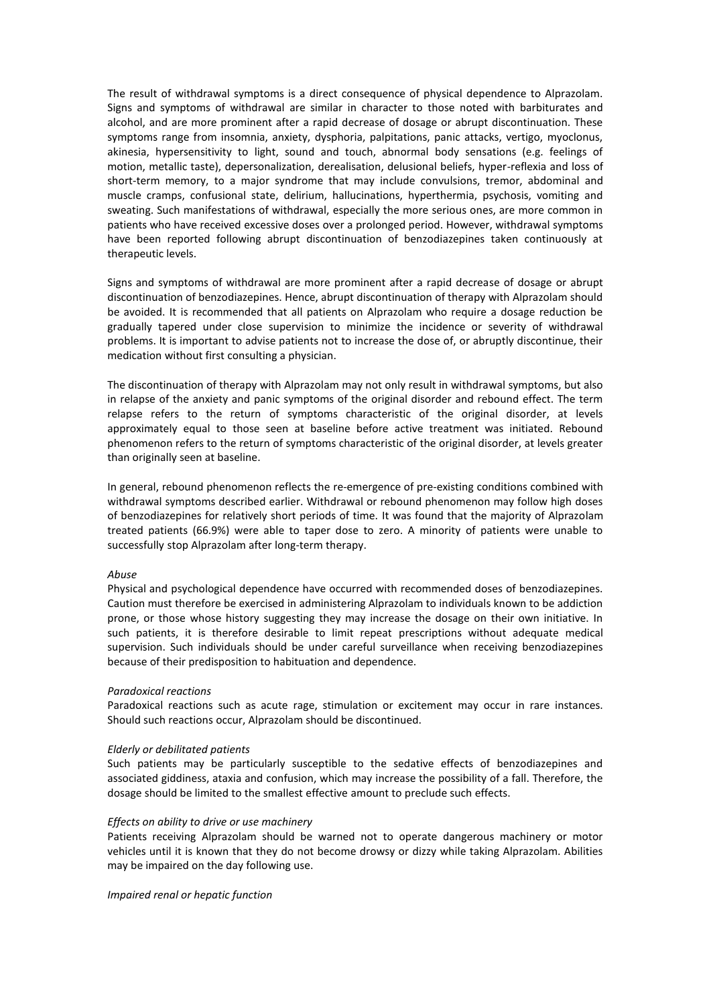The result of withdrawal symptoms is a direct consequence of physical dependence to Alprazolam. Signs and symptoms of withdrawal are similar in character to those noted with barbiturates and alcohol, and are more prominent after a rapid decrease of dosage or abrupt discontinuation. These symptoms range from insomnia, anxiety, dysphoria, palpitations, panic attacks, vertigo, myoclonus, akinesia, hypersensitivity to light, sound and touch, abnormal body sensations (e.g. feelings of motion, metallic taste), depersonalization, derealisation, delusional beliefs, hyper-reflexia and loss of short-term memory, to a major syndrome that may include convulsions, tremor, abdominal and muscle cramps, confusional state, delirium, hallucinations, hyperthermia, psychosis, vomiting and sweating. Such manifestations of withdrawal, especially the more serious ones, are more common in patients who have received excessive doses over a prolonged period. However, withdrawal symptoms have been reported following abrupt discontinuation of benzodiazepines taken continuously at therapeutic levels.

Signs and symptoms of withdrawal are more prominent after a rapid decrease of dosage or abrupt discontinuation of benzodiazepines. Hence, abrupt discontinuation of therapy with Alprazolam should be avoided. It is recommended that all patients on Alprazolam who require a dosage reduction be gradually tapered under close supervision to minimize the incidence or severity of withdrawal problems. It is important to advise patients not to increase the dose of, or abruptly discontinue, their medication without first consulting a physician.

The discontinuation of therapy with Alprazolam may not only result in withdrawal symptoms, but also in relapse of the anxiety and panic symptoms of the original disorder and rebound effect. The term relapse refers to the return of symptoms characteristic of the original disorder, at levels approximately equal to those seen at baseline before active treatment was initiated. Rebound phenomenon refers to the return of symptoms characteristic of the original disorder, at levels greater than originally seen at baseline.

In general, rebound phenomenon reflects the re-emergence of pre-existing conditions combined with withdrawal symptoms described earlier. Withdrawal or rebound phenomenon may follow high doses of benzodiazepines for relatively short periods of time. It was found that the majority of Alprazolam treated patients (66.9%) were able to taper dose to zero. A minority of patients were unable to successfully stop Alprazolam after long-term therapy.

# *Abuse*

Physical and psychological dependence have occurred with recommended doses of benzodiazepines. Caution must therefore be exercised in administering Alprazolam to individuals known to be addiction prone, or those whose history suggesting they may increase the dosage on their own initiative. In such patients, it is therefore desirable to limit repeat prescriptions without adequate medical supervision. Such individuals should be under careful surveillance when receiving benzodiazepines because of their predisposition to habituation and dependence.

#### *Paradoxical reactions*

Paradoxical reactions such as acute rage, stimulation or excitement may occur in rare instances. Should such reactions occur, Alprazolam should be discontinued.

#### *Elderly or debilitated patients*

Such patients may be particularly susceptible to the sedative effects of benzodiazepines and associated giddiness, ataxia and confusion, which may increase the possibility of a fall. Therefore, the dosage should be limited to the smallest effective amount to preclude such effects.

#### *Effects on ability to drive or use machinery*

Patients receiving Alprazolam should be warned not to operate dangerous machinery or motor vehicles until it is known that they do not become drowsy or dizzy while taking Alprazolam. Abilities may be impaired on the day following use.

*Impaired renal or hepatic function*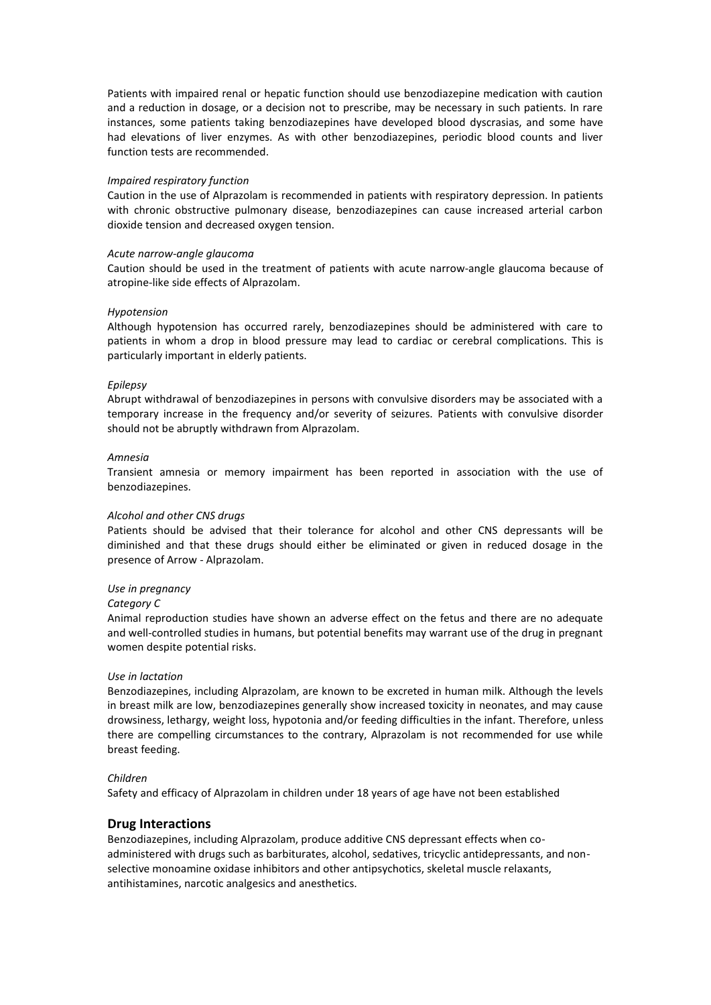Patients with impaired renal or hepatic function should use benzodiazepine medication with caution and a reduction in dosage, or a decision not to prescribe, may be necessary in such patients. In rare instances, some patients taking benzodiazepines have developed blood dyscrasias, and some have had elevations of liver enzymes. As with other benzodiazepines, periodic blood counts and liver function tests are recommended.

### *Impaired respiratory function*

Caution in the use of Alprazolam is recommended in patients with respiratory depression. In patients with chronic obstructive pulmonary disease, benzodiazepines can cause increased arterial carbon dioxide tension and decreased oxygen tension.

#### *Acute narrow-angle glaucoma*

Caution should be used in the treatment of patients with acute narrow-angle glaucoma because of atropine-like side effects of Alprazolam.

#### *Hypotension*

Although hypotension has occurred rarely, benzodiazepines should be administered with care to patients in whom a drop in blood pressure may lead to cardiac or cerebral complications. This is particularly important in elderly patients.

### *Epilepsy*

Abrupt withdrawal of benzodiazepines in persons with convulsive disorders may be associated with a temporary increase in the frequency and/or severity of seizures. Patients with convulsive disorder should not be abruptly withdrawn from Alprazolam.

#### *Amnesia*

Transient amnesia or memory impairment has been reported in association with the use of benzodiazepines.

### *Alcohol and other CNS drugs*

Patients should be advised that their tolerance for alcohol and other CNS depressants will be diminished and that these drugs should either be eliminated or given in reduced dosage in the presence of Arrow - Alprazolam.

# *Use in pregnancy*

#### *Category C*

Animal reproduction studies have shown an adverse effect on the fetus and there are no adequate and well-controlled studies in humans, but potential benefits may warrant use of the drug in pregnant women despite potential risks.

#### *Use in lactation*

Benzodiazepines, including Alprazolam, are known to be excreted in human milk. Although the levels in breast milk are low, benzodiazepines generally show increased toxicity in neonates, and may cause drowsiness, lethargy, weight loss, hypotonia and/or feeding difficulties in the infant. Therefore, unless there are compelling circumstances to the contrary, Alprazolam is not recommended for use while breast feeding.

# *Children*

Safety and efficacy of Alprazolam in children under 18 years of age have not been established

# **Drug Interactions**

Benzodiazepines, including Alprazolam, produce additive CNS depressant effects when coadministered with drugs such as barbiturates, alcohol, sedatives, tricyclic antidepressants, and nonselective monoamine oxidase inhibitors and other antipsychotics, skeletal muscle relaxants, antihistamines, narcotic analgesics and anesthetics.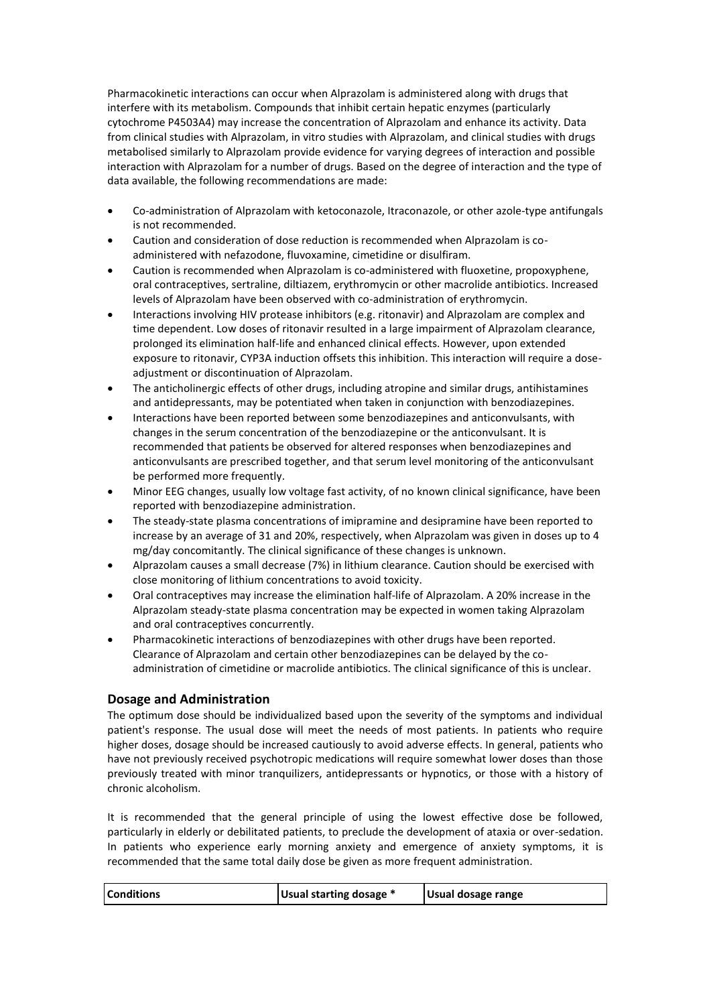Pharmacokinetic interactions can occur when Alprazolam is administered along with drugs that interfere with its metabolism. Compounds that inhibit certain hepatic enzymes (particularly cytochrome P4503A4) may increase the concentration of Alprazolam and enhance its activity. Data from clinical studies with Alprazolam, in vitro studies with Alprazolam, and clinical studies with drugs metabolised similarly to Alprazolam provide evidence for varying degrees of interaction and possible interaction with Alprazolam for a number of drugs. Based on the degree of interaction and the type of data available, the following recommendations are made:

- Co-administration of Alprazolam with ketoconazole, Itraconazole, or other azole-type antifungals is not recommended.
- Caution and consideration of dose reduction is recommended when Alprazolam is coadministered with nefazodone, fluvoxamine, cimetidine or disulfiram.
- Caution is recommended when Alprazolam is co-administered with fluoxetine, propoxyphene, oral contraceptives, sertraline, diltiazem, erythromycin or other macrolide antibiotics. Increased levels of Alprazolam have been observed with co-administration of erythromycin.
- Interactions involving HIV protease inhibitors (e.g. ritonavir) and Alprazolam are complex and time dependent. Low doses of ritonavir resulted in a large impairment of Alprazolam clearance, prolonged its elimination half-life and enhanced clinical effects. However, upon extended exposure to ritonavir, CYP3A induction offsets this inhibition. This interaction will require a doseadjustment or discontinuation of Alprazolam.
- The anticholinergic effects of other drugs, including atropine and similar drugs, antihistamines and antidepressants, may be potentiated when taken in conjunction with benzodiazepines.
- Interactions have been reported between some benzodiazepines and anticonvulsants, with changes in the serum concentration of the benzodiazepine or the anticonvulsant. It is recommended that patients be observed for altered responses when benzodiazepines and anticonvulsants are prescribed together, and that serum level monitoring of the anticonvulsant be performed more frequently.
- Minor EEG changes, usually low voltage fast activity, of no known clinical significance, have been reported with benzodiazepine administration.
- The steady-state plasma concentrations of imipramine and desipramine have been reported to increase by an average of 31 and 20%, respectively, when Alprazolam was given in doses up to 4 mg/day concomitantly. The clinical significance of these changes is unknown.
- Alprazolam causes a small decrease (7%) in lithium clearance. Caution should be exercised with close monitoring of lithium concentrations to avoid toxicity.
- Oral contraceptives may increase the elimination half-life of Alprazolam. A 20% increase in the Alprazolam steady-state plasma concentration may be expected in women taking Alprazolam and oral contraceptives concurrently.
- Pharmacokinetic interactions of benzodiazepines with other drugs have been reported. Clearance of Alprazolam and certain other benzodiazepines can be delayed by the coadministration of cimetidine or macrolide antibiotics. The clinical significance of this is unclear.

# **Dosage and Administration**

The optimum dose should be individualized based upon the severity of the symptoms and individual patient's response. The usual dose will meet the needs of most patients. In patients who require higher doses, dosage should be increased cautiously to avoid adverse effects. In general, patients who have not previously received psychotropic medications will require somewhat lower doses than those previously treated with minor tranquilizers, antidepressants or hypnotics, or those with a history of chronic alcoholism.

It is recommended that the general principle of using the lowest effective dose be followed, particularly in elderly or debilitated patients, to preclude the development of ataxia or over-sedation. In patients who experience early morning anxiety and emergence of anxiety symptoms, it is recommended that the same total daily dose be given as more frequent administration.

|--|